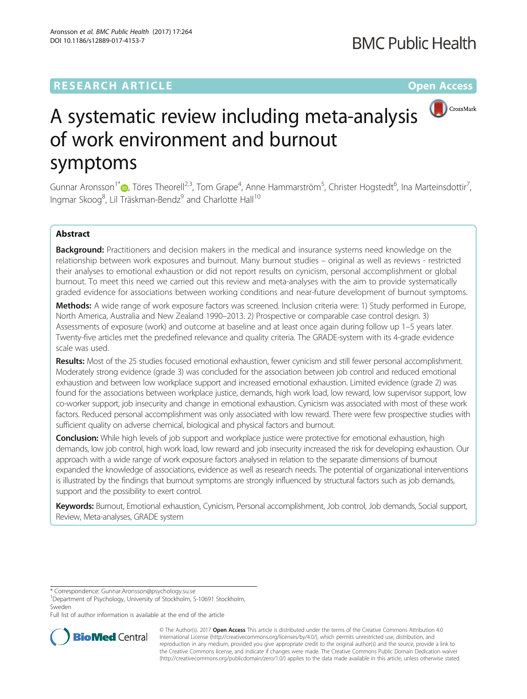## **RESEARCH ARTICLE Example 2014 12:30 The Community Community Community Community Community Community Community**



# A systematic review including meta-analysis of work environment and burnout symptoms

Gunnar Aronsson<sup>1[\\*](http://orcid.org/0000-0003-3664-1814)</sup> (**p**, Töres Theorell<sup>2,3</sup>, Tom Grape<sup>4</sup>, Anne Hammarström<sup>5</sup>, Christer Hogstedt<sup>6</sup>, Ina Marteinsdottir<sup>7</sup> , Ingmar Skoog $^8$ , Lil Träskman-Bendz $^9$  and Charlotte Hall $^{10}$ 

## Abstract

Background: Practitioners and decision makers in the medical and insurance systems need knowledge on the relationship between work exposures and burnout. Many burnout studies – original as well as reviews - restricted their analyses to emotional exhaustion or did not report results on cynicism, personal accomplishment or global burnout. To meet this need we carried out this review and meta-analyses with the aim to provide systematically graded evidence for associations between working conditions and near-future development of burnout symptoms.

Methods: A wide range of work exposure factors was screened. Inclusion criteria were: 1) Study performed in Europe, North America, Australia and New Zealand 1990–2013. 2) Prospective or comparable case control design. 3) Assessments of exposure (work) and outcome at baseline and at least once again during follow up 1–5 years later. Twenty-five articles met the predefined relevance and quality criteria. The GRADE-system with its 4-grade evidence scale was used.

Results: Most of the 25 studies focused emotional exhaustion, fewer cynicism and still fewer personal accomplishment. Moderately strong evidence (grade 3) was concluded for the association between job control and reduced emotional exhaustion and between low workplace support and increased emotional exhaustion. Limited evidence (grade 2) was found for the associations between workplace justice, demands, high work load, low reward, low supervisor support, low co-worker support, job insecurity and change in emotional exhaustion. Cynicism was associated with most of these work factors. Reduced personal accomplishment was only associated with low reward. There were few prospective studies with sufficient quality on adverse chemical, biological and physical factors and burnout.

Conclusion: While high levels of job support and workplace justice were protective for emotional exhaustion, high demands, low job control, high work load, low reward and job insecurity increased the risk for developing exhaustion. Our approach with a wide range of work exposure factors analysed in relation to the separate dimensions of burnout expanded the knowledge of associations, evidence as well as research needs. The potential of organizational interventions is illustrated by the findings that burnout symptoms are strongly influenced by structural factors such as job demands, support and the possibility to exert control.

Keywords: Burnout, Emotional exhaustion, Cynicism, Personal accomplishment, Job control, Job demands, Social support, Review, Meta-analyses, GRADE system

\* Correspondence: [Gunnar.Aronsson@psychology.su.se](mailto:Gunnar.Aronsson@psychology.su.se) <sup>1</sup>

<sup>1</sup>Department of Psychology, University of Stockholm, S-10691 Stockholm, Sweden

Full list of author information is available at the end of the article



© The Author(s). 2017 **Open Access** This article is distributed under the terms of the Creative Commons Attribution 4.0 International License [\(http://creativecommons.org/licenses/by/4.0/](http://creativecommons.org/licenses/by/4.0/)), which permits unrestricted use, distribution, and reproduction in any medium, provided you give appropriate credit to the original author(s) and the source, provide a link to the Creative Commons license, and indicate if changes were made. The Creative Commons Public Domain Dedication waiver [\(http://creativecommons.org/publicdomain/zero/1.0/](http://creativecommons.org/publicdomain/zero/1.0/)) applies to the data made available in this article, unless otherwise stated.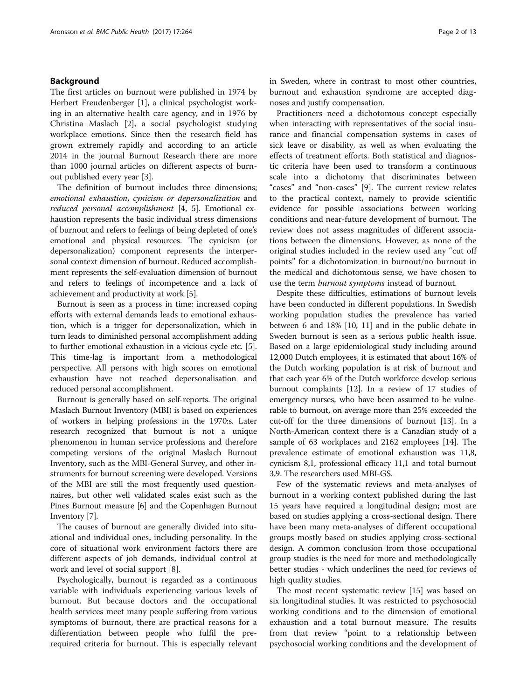## Background

The first articles on burnout were published in 1974 by Herbert Freudenberger [[1\]](#page-11-0), a clinical psychologist working in an alternative health care agency, and in 1976 by Christina Maslach [[2\]](#page-11-0), a social psychologist studying workplace emotions. Since then the research field has grown extremely rapidly and according to an article 2014 in the journal Burnout Research there are more than 1000 journal articles on different aspects of burnout published every year [\[3\]](#page-11-0).

The definition of burnout includes three dimensions; emotional exhaustion, cynicism or depersonalization and reduced personal accomplishment [\[4](#page-11-0), [5](#page-11-0)]. Emotional exhaustion represents the basic individual stress dimensions of burnout and refers to feelings of being depleted of one's emotional and physical resources. The cynicism (or depersonalization) component represents the interpersonal context dimension of burnout. Reduced accomplishment represents the self-evaluation dimension of burnout and refers to feelings of incompetence and a lack of achievement and productivity at work [[5\]](#page-11-0).

Burnout is seen as a process in time: increased coping efforts with external demands leads to emotional exhaustion, which is a trigger for depersonalization, which in turn leads to diminished personal accomplishment adding to further emotional exhaustion in a vicious cycle etc. [[5](#page-11-0)]. This time-lag is important from a methodological perspective. All persons with high scores on emotional exhaustion have not reached depersonalisation and reduced personal accomplishment.

Burnout is generally based on self-reports. The original Maslach Burnout Inventory (MBI) is based on experiences of workers in helping professions in the 1970:s. Later research recognized that burnout is not a unique phenomenon in human service professions and therefore competing versions of the original Maslach Burnout Inventory, such as the MBI-General Survey, and other instruments for burnout screening were developed. Versions of the MBI are still the most frequently used questionnaires, but other well validated scales exist such as the Pines Burnout measure [\[6](#page-11-0)] and the Copenhagen Burnout Inventory [\[7\]](#page-11-0).

The causes of burnout are generally divided into situational and individual ones, including personality. In the core of situational work environment factors there are different aspects of job demands, individual control at work and level of social support [[8\]](#page-11-0).

Psychologically, burnout is regarded as a continuous variable with individuals experiencing various levels of burnout. But because doctors and the occupational health services meet many people suffering from various symptoms of burnout, there are practical reasons for a differentiation between people who fulfil the prerequired criteria for burnout. This is especially relevant

in Sweden, where in contrast to most other countries, burnout and exhaustion syndrome are accepted diagnoses and justify compensation.

Practitioners need a dichotomous concept especially when interacting with representatives of the social insurance and financial compensation systems in cases of sick leave or disability, as well as when evaluating the effects of treatment efforts. Both statistical and diagnostic criteria have been used to transform a continuous scale into a dichotomy that discriminates between "cases" and "non-cases" [[9\]](#page-11-0). The current review relates to the practical context, namely to provide scientific evidence for possible associations between working conditions and near-future development of burnout. The review does not assess magnitudes of different associations between the dimensions. However, as none of the original studies included in the review used any "cut off points" for a dichotomization in burnout/no burnout in the medical and dichotomous sense, we have chosen to use the term burnout symptoms instead of burnout.

Despite these difficulties, estimations of burnout levels have been conducted in different populations. In Swedish working population studies the prevalence has varied between 6 and 18% [[10](#page-11-0), [11](#page-11-0)] and in the public debate in Sweden burnout is seen as a serious public health issue. Based on a large epidemiological study including around 12,000 Dutch employees, it is estimated that about 16% of the Dutch working population is at risk of burnout and that each year 6% of the Dutch workforce develop serious burnout complaints [\[12\]](#page-11-0). In a review of 17 studies of emergency nurses, who have been assumed to be vulnerable to burnout, on average more than 25% exceeded the cut-off for the three dimensions of burnout [[13](#page-11-0)]. In a North-American context there is a Canadian study of a sample of 63 workplaces and 2162 employees [\[14](#page-11-0)]. The prevalence estimate of emotional exhaustion was 11,8, cynicism 8,1, professional efficacy 11,1 and total burnout 3,9. The researchers used MBI-GS.

Few of the systematic reviews and meta-analyses of burnout in a working context published during the last 15 years have required a longitudinal design; most are based on studies applying a cross-sectional design. There have been many meta-analyses of different occupational groups mostly based on studies applying cross-sectional design. A common conclusion from those occupational group studies is the need for more and methodologically better studies - which underlines the need for reviews of high quality studies.

The most recent systematic review [[15](#page-11-0)] was based on six longitudinal studies. It was restricted to psychosocial working conditions and to the dimension of emotional exhaustion and a total burnout measure. The results from that review "point to a relationship between psychosocial working conditions and the development of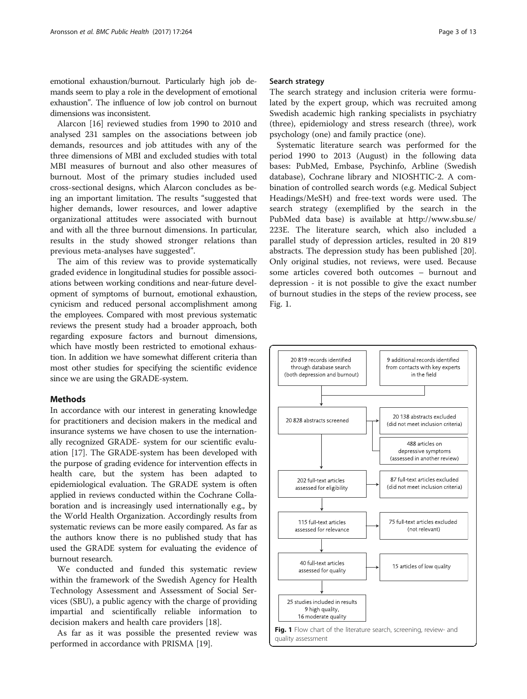<span id="page-2-0"></span>emotional exhaustion/burnout. Particularly high job demands seem to play a role in the development of emotional exhaustion". The influence of low job control on burnout dimensions was inconsistent.

Alarcon [\[16\]](#page-11-0) reviewed studies from 1990 to 2010 and analysed 231 samples on the associations between job demands, resources and job attitudes with any of the three dimensions of MBI and excluded studies with total MBI measures of burnout and also other measures of burnout. Most of the primary studies included used cross-sectional designs, which Alarcon concludes as being an important limitation. The results "suggested that higher demands, lower resources, and lower adaptive organizational attitudes were associated with burnout and with all the three burnout dimensions. In particular, results in the study showed stronger relations than previous meta-analyses have suggested".

The aim of this review was to provide systematically graded evidence in longitudinal studies for possible associations between working conditions and near-future development of symptoms of burnout, emotional exhaustion, cynicism and reduced personal accomplishment among the employees. Compared with most previous systematic reviews the present study had a broader approach, both regarding exposure factors and burnout dimensions, which have mostly been restricted to emotional exhaustion. In addition we have somewhat different criteria than most other studies for specifying the scientific evidence since we are using the GRADE-system.

## **Methods**

In accordance with our interest in generating knowledge for practitioners and decision makers in the medical and insurance systems we have chosen to use the internationally recognized GRADE- system for our scientific evaluation [[17](#page-11-0)]. The GRADE-system has been developed with the purpose of grading evidence for intervention effects in health care, but the system has been adapted to epidemiological evaluation. The GRADE system is often applied in reviews conducted within the Cochrane Collaboration and is increasingly used internationally e.g., by the World Health Organization. Accordingly results from systematic reviews can be more easily compared. As far as the authors know there is no published study that has used the GRADE system for evaluating the evidence of burnout research.

We conducted and funded this systematic review within the framework of the Swedish Agency for Health Technology Assessment and Assessment of Social Services (SBU), a public agency with the charge of providing impartial and scientifically reliable information to decision makers and health care providers [[18](#page-11-0)].

As far as it was possible the presented review was performed in accordance with PRISMA [\[19\]](#page-11-0).

## Search strategy

The search strategy and inclusion criteria were formulated by the expert group, which was recruited among Swedish academic high ranking specialists in psychiatry (three), epidemiology and stress research (three), work psychology (one) and family practice (one).

Systematic literature search was performed for the period 1990 to 2013 (August) in the following data bases: PubMed, Embase, Psychinfo, Arbline (Swedish database), Cochrane library and NIOSHTIC-2. A combination of controlled search words (e.g. Medical Subject Headings/MeSH) and free-text words were used. The search strategy (exemplified by the search in the PubMed data base) is available at [http://www.sbu.se/](http://www.sbu.se/223E) [223E.](http://www.sbu.se/223E) The literature search, which also included a parallel study of depression articles, resulted in 20 819 abstracts. The depression study has been published [\[20](#page-11-0)]. Only original studies, not reviews, were used. Because some articles covered both outcomes – burnout and depression - it is not possible to give the exact number of burnout studies in the steps of the review process, see Fig. 1.

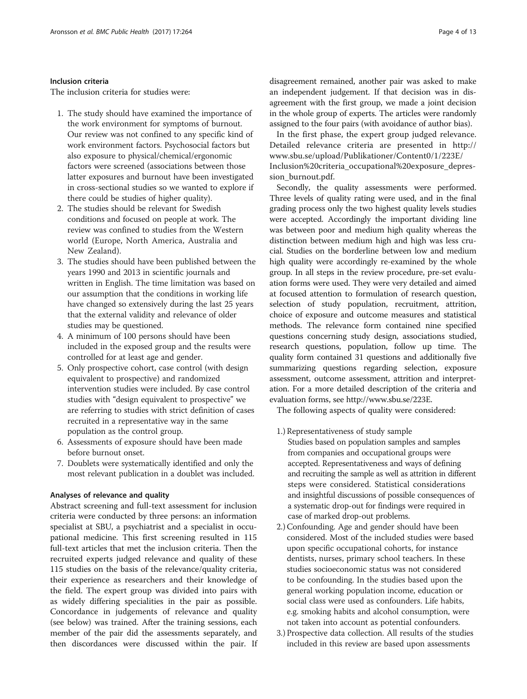## Inclusion criteria

The inclusion criteria for studies were:

- 1. The study should have examined the importance of the work environment for symptoms of burnout. Our review was not confined to any specific kind of work environment factors. Psychosocial factors but also exposure to physical/chemical/ergonomic factors were screened (associations between those latter exposures and burnout have been investigated in cross-sectional studies so we wanted to explore if there could be studies of higher quality).
- 2. The studies should be relevant for Swedish conditions and focused on people at work. The review was confined to studies from the Western world (Europe, North America, Australia and New Zealand).
- 3. The studies should have been published between the years 1990 and 2013 in scientific journals and written in English. The time limitation was based on our assumption that the conditions in working life have changed so extensively during the last 25 years that the external validity and relevance of older studies may be questioned.
- 4. A minimum of 100 persons should have been included in the exposed group and the results were controlled for at least age and gender.
- 5. Only prospective cohort, case control (with design equivalent to prospective) and randomized intervention studies were included. By case control studies with "design equivalent to prospective" we are referring to studies with strict definition of cases recruited in a representative way in the same population as the control group.
- 6. Assessments of exposure should have been made before burnout onset.
- 7. Doublets were systematically identified and only the most relevant publication in a doublet was included.

## Analyses of relevance and quality

Abstract screening and full-text assessment for inclusion criteria were conducted by three persons: an information specialist at SBU, a psychiatrist and a specialist in occupational medicine. This first screening resulted in 115 full-text articles that met the inclusion criteria. Then the recruited experts judged relevance and quality of these 115 studies on the basis of the relevance/quality criteria, their experience as researchers and their knowledge of the field. The expert group was divided into pairs with as widely differing specialities in the pair as possible. Concordance in judgements of relevance and quality (see below) was trained. After the training sessions, each member of the pair did the assessments separately, and then discordances were discussed within the pair. If

disagreement remained, another pair was asked to make an independent judgement. If that decision was in disagreement with the first group, we made a joint decision in the whole group of experts. The articles were randomly assigned to the four pairs (with avoidance of author bias).

In the first phase, the expert group judged relevance. Detailed relevance criteria are presented in [http://](http://www.sbu.se/upload/Publikationer/Content0/1/223E/Inclusion%20criteria_occupational%20exposure_depression_burnout.pdf) [www.sbu.se/upload/Publikationer/Content0/1/223E/](http://www.sbu.se/upload/Publikationer/Content0/1/223E/Inclusion%20criteria_occupational%20exposure_depression_burnout.pdf) [Inclusion%20criteria\\_occupational%20exposure\\_depres](http://www.sbu.se/upload/Publikationer/Content0/1/223E/Inclusion%20criteria_occupational%20exposure_depression_burnout.pdf)[sion\\_burnout.pdf](http://www.sbu.se/upload/Publikationer/Content0/1/223E/Inclusion%20criteria_occupational%20exposure_depression_burnout.pdf).

Secondly, the quality assessments were performed. Three levels of quality rating were used, and in the final grading process only the two highest quality levels studies were accepted. Accordingly the important dividing line was between poor and medium high quality whereas the distinction between medium high and high was less crucial. Studies on the borderline between low and medium high quality were accordingly re-examined by the whole group. In all steps in the review procedure, pre-set evaluation forms were used. They were very detailed and aimed at focused attention to formulation of research question, selection of study population, recruitment, attrition, choice of exposure and outcome measures and statistical methods. The relevance form contained nine specified questions concerning study design, associations studied, research questions, population, follow up time. The quality form contained 31 questions and additionally five summarizing questions regarding selection, exposure assessment, outcome assessment, attrition and interpretation. For a more detailed description of the criteria and evaluation forms, see [http://www.sbu.se/223E.](http://www.sbu.se/223E)

The following aspects of quality were considered:

- 1.) Representativeness of study sample Studies based on population samples and samples from companies and occupational groups were accepted. Representativeness and ways of defining and recruiting the sample as well as attrition in different steps were considered. Statistical considerations and insightful discussions of possible consequences of a systematic drop-out for findings were required in case of marked drop-out problems.
- 2.) Confounding. Age and gender should have been considered. Most of the included studies were based upon specific occupational cohorts, for instance dentists, nurses, primary school teachers. In these studies socioeconomic status was not considered to be confounding. In the studies based upon the general working population income, education or social class were used as confounders. Life habits, e.g. smoking habits and alcohol consumption, were not taken into account as potential confounders.
- 3.) Prospective data collection. All results of the studies included in this review are based upon assessments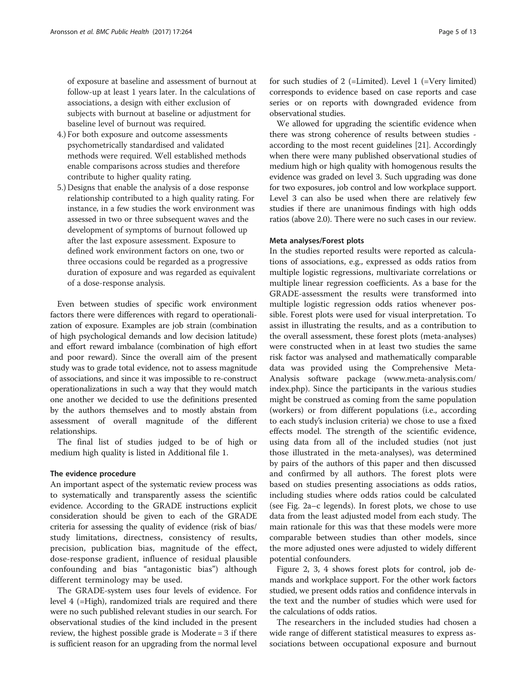of exposure at baseline and assessment of burnout at follow-up at least 1 years later. In the calculations of associations, a design with either exclusion of subjects with burnout at baseline or adjustment for baseline level of burnout was required.

- 4.) For both exposure and outcome assessments psychometrically standardised and validated methods were required. Well established methods enable comparisons across studies and therefore contribute to higher quality rating.
- 5.) Designs that enable the analysis of a dose response relationship contributed to a high quality rating. For instance, in a few studies the work environment was assessed in two or three subsequent waves and the development of symptoms of burnout followed up after the last exposure assessment. Exposure to defined work environment factors on one, two or three occasions could be regarded as a progressive duration of exposure and was regarded as equivalent of a dose-response analysis.

Even between studies of specific work environment factors there were differences with regard to operationalization of exposure. Examples are job strain (combination of high psychological demands and low decision latitude) and effort reward imbalance (combination of high effort and poor reward). Since the overall aim of the present study was to grade total evidence, not to assess magnitude of associations, and since it was impossible to re-construct operationalizations in such a way that they would match one another we decided to use the definitions presented by the authors themselves and to mostly abstain from assessment of overall magnitude of the different relationships.

The final list of studies judged to be of high or medium high quality is listed in Additional file [1.](#page-11-0)

## The evidence procedure

An important aspect of the systematic review process was to systematically and transparently assess the scientific evidence. According to the GRADE instructions explicit consideration should be given to each of the GRADE criteria for assessing the quality of evidence (risk of bias/ study limitations, directness, consistency of results, precision, publication bias, magnitude of the effect, dose-response gradient, influence of residual plausible confounding and bias "antagonistic bias") although different terminology may be used.

The GRADE-system uses four levels of evidence. For level 4 (=High), randomized trials are required and there were no such published relevant studies in our search. For observational studies of the kind included in the present review, the highest possible grade is Moderate = 3 if there is sufficient reason for an upgrading from the normal level for such studies of 2 (=Limited). Level 1 (=Very limited) corresponds to evidence based on case reports and case series or on reports with downgraded evidence from observational studies.

We allowed for upgrading the scientific evidence when there was strong coherence of results between studies according to the most recent guidelines [\[21\]](#page-11-0). Accordingly when there were many published observational studies of medium high or high quality with homogenous results the evidence was graded on level 3. Such upgrading was done for two exposures, job control and low workplace support. Level 3 can also be used when there are relatively few studies if there are unanimous findings with high odds ratios (above 2.0). There were no such cases in our review.

## Meta analyses/Forest plots

In the studies reported results were reported as calculations of associations, e.g., expressed as odds ratios from multiple logistic regressions, multivariate correlations or multiple linear regression coefficients. As a base for the GRADE-assessment the results were transformed into multiple logistic regression odds ratios whenever possible. Forest plots were used for visual interpretation. To assist in illustrating the results, and as a contribution to the overall assessment, these forest plots (meta-analyses) were constructed when in at least two studies the same risk factor was analysed and mathematically comparable data was provided using the Comprehensive Meta-Analysis software package [\(www.meta-analysis.com/](http://www.meta-analysis.com/index.php) [index.php\)](http://www.meta-analysis.com/index.php). Since the participants in the various studies might be construed as coming from the same population (workers) or from different populations (i.e., according to each study's inclusion criteria) we chose to use a fixed effects model. The strength of the scientific evidence, using data from all of the included studies (not just those illustrated in the meta-analyses), was determined by pairs of the authors of this paper and then discussed and confirmed by all authors. The forest plots were based on studies presenting associations as odds ratios, including studies where odds ratios could be calculated (see Fig. [2a](#page-5-0)–c legends). In forest plots, we chose to use data from the least adjusted model from each study. The main rationale for this was that these models were more comparable between studies than other models, since the more adjusted ones were adjusted to widely different potential confounders.

Figure [2, 3](#page-5-0), [4](#page-6-0) shows forest plots for control, job demands and workplace support. For the other work factors studied, we present odds ratios and confidence intervals in the text and the number of studies which were used for the calculations of odds ratios.

The researchers in the included studies had chosen a wide range of different statistical measures to express associations between occupational exposure and burnout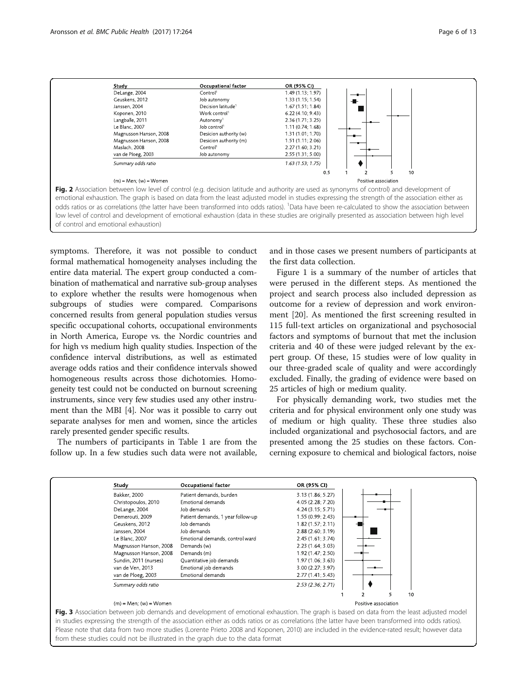<span id="page-5-0"></span>

symptoms. Therefore, it was not possible to conduct formal mathematical homogeneity analyses including the entire data material. The expert group conducted a combination of mathematical and narrative sub-group analyses to explore whether the results were homogenous when subgroups of studies were compared. Comparisons concerned results from general population studies versus specific occupational cohorts, occupational environments in North America, Europe vs. the Nordic countries and for high vs medium high quality studies. Inspection of the confidence interval distributions, as well as estimated average odds ratios and their confidence intervals showed homogeneous results across those dichotomies. Homogeneity test could not be conducted on burnout screening instruments, since very few studies used any other instrument than the MBI [\[4](#page-11-0)]. Nor was it possible to carry out separate analyses for men and women, since the articles rarely presented gender specific results.

The numbers of participants in Table [1](#page-6-0) are from the follow up. In a few studies such data were not available,

and in those cases we present numbers of participants at the first data collection.

Figure [1](#page-2-0) is a summary of the number of articles that were perused in the different steps. As mentioned the project and search process also included depression as outcome for a review of depression and work environment [[20\]](#page-11-0). As mentioned the first screening resulted in 115 full-text articles on organizational and psychosocial factors and symptoms of burnout that met the inclusion criteria and 40 of these were judged relevant by the expert group. Of these, 15 studies were of low quality in our three-graded scale of quality and were accordingly excluded. Finally, the grading of evidence were based on 25 articles of high or medium quality.

For physically demanding work, two studies met the criteria and for physical environment only one study was of medium or high quality. These three studies also included organizational and psychosocial factors, and are presented among the 25 studies on these factors. Concerning exposure to chemical and biological factors, noise

| Study                      | Occupational factor               | OR (95% CI)          |    |
|----------------------------|-----------------------------------|----------------------|----|
| Bakker, 2000               | Patient demands, burden           | 3.13 (1.86; 5.27)    |    |
| Christopoulos, 2010        | Emotional demands                 | 4.05 (2.28; 7.20)    |    |
| DeLange, 2004              | Job demands                       | 4.24 (3.15; 5.71)    |    |
| Demerouti, 2009            | Patient demands, 1 year follow-up | 1.55 (0.99; 2.43)    |    |
| Geuskens, 2012             | Job demands                       | 1.82(1.57; 2.11)     |    |
| Janssen, 2004              | Job demands                       | 2.88(2.60; 3.19)     |    |
| Le Blanc. 2007             | Emotional demands, control ward   | 2.45(1.61; 3.74)     |    |
| Magnusson Hanson, 2008     | Demands (w)                       | 2.23(1.64; 3.03)     |    |
| Magnusson Hanson, 2008     | Demands (m)                       | 1.92 (1.47; 2.50)    |    |
| Sundin, 2011 (nurses)      | Quantitative job demands          | 1.97(1.06; 3.63)     |    |
| van de Ven, 2013           | Emotional job demands             | 3.00 (2.27; 3.97)    |    |
| van de Ploeg, 2003         | Emotional demands                 | 2.77(1.41; 5.43)     |    |
| Summary odds ratio         |                                   | 2.53(2.36; 2.71)     |    |
|                            |                                   |                      | 10 |
| $(m)$ = Men; $(w)$ = Women |                                   | Positive association |    |

in studies expressing the strength of the association either as odds ratios or as correlations (the latter have been transformed into odds ratios). Please note that data from two more studies (Lorente Prieto 2008 and Koponen, 2010) are included in the evidence-rated result; however data from these studies could not be illustrated in the graph due to the data format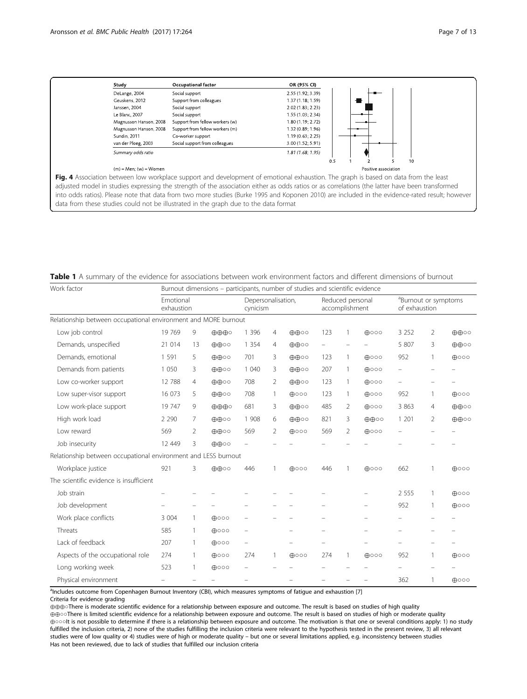Positive association

<span id="page-6-0"></span>

| Study                  | Occupational factor             | OR (95% CI)       |
|------------------------|---------------------------------|-------------------|
| DeLange, 2004          | Social support                  | 2.55 (1.92: 3.39) |
| Geuskens, 2012         | Support from colleagues         | 1.37 (1.18; 1.59) |
| Janssen, 2004          | Social support                  | 2.02 (1.83; 2.23) |
| Le Blanc, 2007         | Social support                  | 1.55 (1.03; 2.34) |
| Magnusson Hanson, 2008 | Support from fellow workers (w) | 1.80 (1.19: 2.72) |
| Magnusson Hanson, 2008 | Support from fellow workers (m) | 1.32 (0.89; 1.96) |
| Sundin, 2011           | Co-worker support               | 1.19(0.63; 2.25)  |
| van der Ploeg, 2003    | Social support from colleagues  | 3.00 (1.52; 5.91) |
| Summary odds ratio     |                                 | 1.81(1.68; 1.95)  |
|                        |                                 | 0.5               |

#### $(m)$  = Men;  $(w)$  = Women

Fig. 4 Association between low workplace support and development of emotional exhaustion. The graph is based on data from the least adjusted model in studies expressing the strength of the association either as odds ratios or as correlations (the latter have been transformed into odds ratios). Please note that data from two more studies (Burke 1995 and Koponen 2010) are included in the evidence-rated result; however data from these studies could not be illustrated in the graph due to the data format

| <b>Table 1</b> A summary of the evidence for associations between work environment factors and different dimensions of burnout |
|--------------------------------------------------------------------------------------------------------------------------------|
|--------------------------------------------------------------------------------------------------------------------------------|

| Work factor                                                    | Burnout dimensions – participants, number of studies and scientific evidence |                |                                |                          |                                    |                             |                                                   |                          |                          |         |                |                             |
|----------------------------------------------------------------|------------------------------------------------------------------------------|----------------|--------------------------------|--------------------------|------------------------------------|-----------------------------|---------------------------------------------------|--------------------------|--------------------------|---------|----------------|-----------------------------|
|                                                                | Emotional<br>exhaustion                                                      |                | Depersonalisation,<br>cynicism |                          | Reduced personal<br>accomplishment |                             | <sup>a</sup> Burnout or symptoms<br>of exhaustion |                          |                          |         |                |                             |
| Relationship between occupational environment and MORE burnout |                                                                              |                |                                |                          |                                    |                             |                                                   |                          |                          |         |                |                             |
| Low job control                                                | 19 769                                                                       | 9              | $\oplus \oplus \oplus \circ$   | 1 3 9 6                  | $\overline{4}$                     | 田田の                         | 123                                               | 1                        | $\bigoplus$ 000          | 3 2 5 2 | 2              | ⊕⊕○○                        |
| Demands, unspecified                                           | 21 014                                                                       | 13             | $\oplus \oplus \circ \circ$    | 1 3 5 4                  | $\overline{4}$                     | ⊕⊕⊙                         | $\qquad \qquad -$                                 | $\overline{\phantom{0}}$ |                          | 5 807   | 3              | $\oplus \oplus \circ \circ$ |
| Demands, emotional                                             | 1 5 9 1                                                                      | 5              | $\oplus \oplus \circ \circ$    | 701                      | 3                                  | $\oplus \oplus \circ \circ$ | 123                                               | 1                        | $\bigoplus$ 000          | 952     | 1              | $\bigoplus$ 000             |
| Demands from patients                                          | 1 0 5 0                                                                      | 3              | $\oplus \oplus \circ \circ$    | 1 0 4 0                  | 3                                  | $\oplus \oplus \circ \circ$ | 207                                               | $\mathbf{1}$             | $\bigoplus$ 000          |         |                |                             |
| Low co-worker support                                          | 12 788                                                                       | $\overline{4}$ | $\oplus \oplus \circ \circ$    | 708                      | 2                                  | $\oplus \oplus \circ \circ$ | 123                                               | 1                        | $\bigoplus$ 000          |         |                |                             |
| Low super-visor support                                        | 16 073                                                                       | 5              | $\oplus \oplus \circ \circ$    | 708                      | $\mathbf{1}$                       | $\bigoplus$ 000             | 123                                               | 1                        | $\bigoplus$ 000          | 952     | 1              | $\bigoplus$ 000             |
| Low work-place support                                         | 19 747                                                                       | 9              | $\oplus \oplus \oplus \circ$   | 681                      | 3                                  | $\oplus \oplus \circ \circ$ | 485                                               | 2                        | $\bigoplus$ 000          | 3 8 6 3 | $\overline{4}$ | $\oplus \oplus \circ \circ$ |
| High work load                                                 | 2 2 9 0                                                                      | 7              | $\oplus \oplus \circ \circ$    | 1 908                    | 6                                  | $\oplus \oplus \circ \circ$ | 821                                               | 3                        | ⊕⊕○○                     | 1 201   | 2              | ⊕⊕○○                        |
| Low reward                                                     | 569                                                                          | 2              | $\oplus \oplus \circ \circ$    | 569                      | 2                                  | $\bigoplus$ 000             | 569                                               | 2                        | $\bigoplus$ 000          |         |                |                             |
| Job insecurity                                                 | 12 449                                                                       | 3              | $\oplus \oplus \circ \circ$    |                          |                                    |                             |                                                   |                          |                          |         |                |                             |
| Relationship between occupational environment and LESS burnout |                                                                              |                |                                |                          |                                    |                             |                                                   |                          |                          |         |                |                             |
| Workplace justice                                              | 921                                                                          | 3              | ⊕⊕⊙                            | 446                      |                                    | $\bigoplus$ 000             | 446                                               | 1                        | $\bigoplus$ 000          | 662     |                | $\bigoplus$ 000             |
| The scientific evidence is insufficient                        |                                                                              |                |                                |                          |                                    |                             |                                                   |                          |                          |         |                |                             |
| Job strain                                                     |                                                                              |                |                                |                          |                                    |                             |                                                   |                          |                          | 2 5 5 5 | 1              | $\bigoplus$ 000             |
| Job development                                                |                                                                              |                |                                |                          |                                    |                             |                                                   |                          | $\overline{\phantom{m}}$ | 952     | 1              | $\bigoplus$ 000             |
| Work place conflicts                                           | 3 0 0 4                                                                      | $\mathbf{1}$   | $\bigoplus$ 000                | $\overline{\phantom{0}}$ |                                    |                             |                                                   |                          |                          |         |                |                             |
| Threats                                                        | 585                                                                          | 1              | $\bigoplus$ 000                | $\equiv$                 |                                    |                             |                                                   |                          |                          |         |                |                             |
| Lack of feedback                                               | 207                                                                          | 1              | $\bigoplus$ 000                | $\overline{\phantom{0}}$ |                                    |                             |                                                   |                          |                          |         |                |                             |
| Aspects of the occupational role                               | 274                                                                          | 1              | $\bigoplus$ 000                | 274                      | -1                                 | $\bigoplus$ 000             | 274                                               | 1                        | $\bigoplus$ 000          | 952     | 1              | $\bigoplus$ 000             |
| Long working week                                              | 523                                                                          | 1              | $\bigoplus$ 000                | $\equiv$                 |                                    |                             |                                                   |                          |                          |         |                |                             |
| Physical environment                                           |                                                                              |                |                                |                          |                                    |                             |                                                   |                          |                          | 362     |                | $\bigoplus$ 000             |

<sup>a</sup>Includes outcome from Copenhagen Burnout Inventory (CBI), which measures symptoms of fatigue and exhaustion [7]

Criteria for evidence grading

⊕⊕⊕○There is moderate scientific evidence for a relationship between exposure and outcome. The result is based on studies of high quality ⊕⊕○○There is limited scientific evidence for a relationship between exposure and outcome. The result is based on studies of high or moderate quality ⊕○○○It is not possible to determine if there is a relationship between exposure and outcome. The motivation is that one or several conditions apply: 1) no study fulfilled the inclusion criteria, 2) none of the studies fulfilling the inclusion criteria were relevant to the hypothesis tested in the present review, 3) all relevant studies were of low quality or 4) studies were of high or moderate quality – but one or several limitations applied, e.g. inconsistency between studies Has not been reviewed, due to lack of studies that fulfilled our inclusion criteria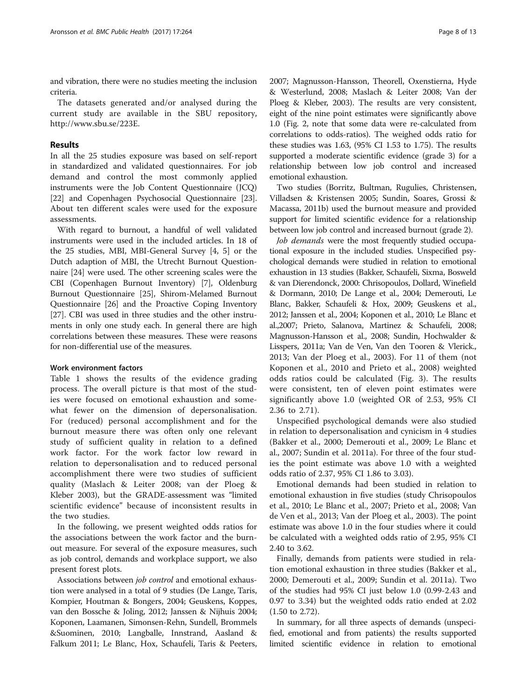and vibration, there were no studies meeting the inclusion criteria.

The datasets generated and/or analysed during the current study are available in the SBU repository, [http://www.sbu.se/223E.](http://www.sbu.se/223E)

## Results

In all the 25 studies exposure was based on self-report in standardized and validated questionnaires. For job demand and control the most commonly applied instruments were the Job Content Questionnaire (JCQ) [[22](#page-11-0)] and Copenhagen Psychosocial Questionnaire [[23](#page-11-0)]. About ten different scales were used for the exposure assessments.

With regard to burnout, a handful of well validated instruments were used in the included articles. In 18 of the 25 studies, MBI, MBI-General Survey [\[4](#page-11-0), [5\]](#page-11-0) or the Dutch adaption of MBI, the Utrecht Burnout Questionnaire [\[24\]](#page-11-0) were used. The other screening scales were the CBI (Copenhagen Burnout Inventory) [\[7](#page-11-0)], Oldenburg Burnout Questionnaire [[25\]](#page-11-0), Shirom-Melamed Burnout Questionnaire [\[26](#page-11-0)] and the Proactive Coping Inventory [[27](#page-11-0)]. CBI was used in three studies and the other instruments in only one study each. In general there are high correlations between these measures. These were reasons for non-differential use of the measures.

## Work environment factors

Table [1](#page-6-0) shows the results of the evidence grading process. The overall picture is that most of the studies were focused on emotional exhaustion and somewhat fewer on the dimension of depersonalisation. For (reduced) personal accomplishment and for the burnout measure there was often only one relevant study of sufficient quality in relation to a defined work factor. For the work factor low reward in relation to depersonalisation and to reduced personal accomplishment there were two studies of sufficient quality (Maslach & Leiter 2008; van der Ploeg & Kleber 2003), but the GRADE-assessment was "limited scientific evidence" because of inconsistent results in the two studies.

In the following, we present weighted odds ratios for the associations between the work factor and the burnout measure. For several of the exposure measures, such as job control, demands and workplace support, we also present forest plots.

Associations between job control and emotional exhaustion were analysed in a total of 9 studies (De Lange, Taris, Kompier, Houtman & Bongers, 2004; Geuskens, Koppes, van den Bossche & Joling, 2012; Janssen & Nijhuis 2004; Koponen, Laamanen, Simonsen-Rehn, Sundell, Brommels &Suominen, 2010; Langballe, Innstrand, Aasland & Falkum 2011; Le Blanc, Hox, Schaufeli, Taris & Peeters, 2007; Magnusson-Hansson, Theorell, Oxenstierna, Hyde & Westerlund, 2008; Maslach & Leiter 2008; Van der Ploeg & Kleber, 2003). The results are very consistent, eight of the nine point estimates were significantly above 1.0 (Fig. [2,](#page-5-0) note that some data were re-calculated from correlations to odds-ratios). The weighed odds ratio for these studies was 1.63, (95% CI 1.53 to 1.75). The results supported a moderate scientific evidence (grade 3) for a relationship between low job control and increased emotional exhaustion.

Two studies (Borritz, Bultman, Rugulies, Christensen, Villadsen & Kristensen 2005; Sundin, Soares, Grossi & Macassa, 2011b) used the burnout measure and provided support for limited scientific evidence for a relationship between low job control and increased burnout (grade 2).

Job demands were the most frequently studied occupational exposure in the included studies. Unspecified psychological demands were studied in relation to emotional exhaustion in 13 studies (Bakker, Schaufeli, Sixma, Bosweld & van Dierendonck, 2000: Chrisopoulos, Dollard, Winefield & Dormann, 2010; De Lange et al., 2004; Demerouti, Le Blanc, Bakker, Schaufeli & Hox, 2009; Geuskens et al., 2012; Janssen et al., 2004; Koponen et al., 2010; Le Blanc et al.,2007; Prieto, Salanova, Martinez & Schaufeli, 2008; Magnusson-Hansson et al., 2008; Sundin, Hochwalder & Lisspers, 2011a; Van de Ven, Van den Tooren & Vlerick., 2013; Van der Ploeg et al., 2003). For 11 of them (not Koponen et al., 2010 and Prieto et al., 2008) weighted odds ratios could be calculated (Fig. [3](#page-5-0)). The results were consistent, ten of eleven point estimates were significantly above 1.0 (weighted OR of 2.53, 95% CI 2.36 to 2.71).

Unspecified psychological demands were also studied in relation to depersonalisation and cynicism in 4 studies (Bakker et al., 2000; Demerouti et al., 2009; Le Blanc et al., 2007; Sundin et al. 2011a). For three of the four studies the point estimate was above 1.0 with a weighted odds ratio of 2.37, 95% CI 1.86 to 3.03).

Emotional demands had been studied in relation to emotional exhaustion in five studies (study Chrisopoulos et al., 2010; Le Blanc et al., 2007; Prieto et al., 2008; Van de Ven et al., 2013; Van der Ploeg et al., 2003). The point estimate was above 1.0 in the four studies where it could be calculated with a weighted odds ratio of 2.95, 95% CI 2.40 to 3.62.

Finally, demands from patients were studied in relation emotional exhaustion in three studies (Bakker et al., 2000; Demerouti et al., 2009; Sundin et al. 2011a). Two of the studies had 95% CI just below 1.0 (0.99-2.43 and 0.97 to 3.34) but the weighted odds ratio ended at 2.02 (1.50 to 2.72).

In summary, for all three aspects of demands (unspecified, emotional and from patients) the results supported limited scientific evidence in relation to emotional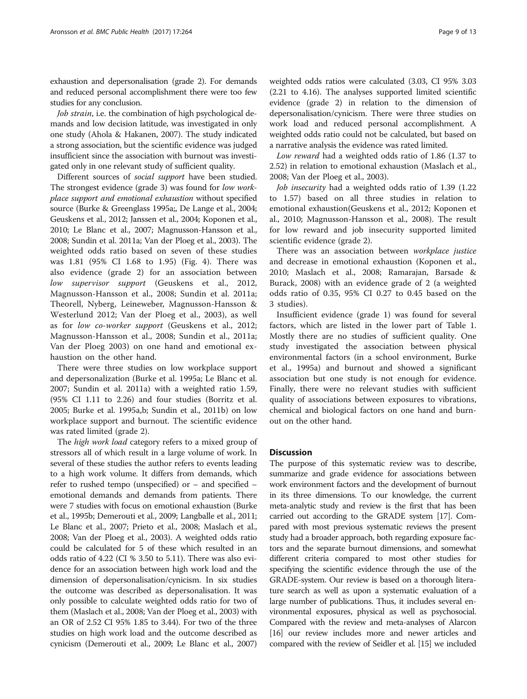exhaustion and depersonalisation (grade 2). For demands and reduced personal accomplishment there were too few studies for any conclusion.

Job strain, i.e. the combination of high psychological demands and low decision latitude, was investigated in only one study (Ahola & Hakanen, 2007). The study indicated a strong association, but the scientific evidence was judged insufficient since the association with burnout was investigated only in one relevant study of sufficient quality.

Different sources of social support have been studied. The strongest evidence (grade 3) was found for low workplace support and emotional exhaustion without specified source (Burke & Greenglass 1995a;, De Lange et al., 2004; Geuskens et al., 2012; Janssen et al., 2004; Koponen et al., 2010; Le Blanc et al., 2007; Magnusson-Hansson et al., 2008; Sundin et al. 2011a; Van der Ploeg et al., 2003). The weighted odds ratio based on seven of these studies was 1.81 (95% CI 1.68 to 1.95) (Fig. [4\)](#page-6-0). There was also evidence (grade 2) for an association between low supervisor support (Geuskens et al., 2012, Magnusson-Hansson et al., 2008; Sundin et al. 2011a; Theorell, Nyberg, Leineweber, Magnusson-Hansson & Westerlund 2012; Van der Ploeg et al., 2003), as well as for low co-worker support (Geuskens et al., 2012; Magnusson-Hansson et al., 2008; Sundin et al., 2011a; Van der Ploeg 2003) on one hand and emotional exhaustion on the other hand.

There were three studies on low workplace support and depersonalization (Burke et al. 1995a; Le Blanc et al. 2007; Sundin et al. 2011a) with a weighted ratio 1.59, (95% CI 1.11 to 2.26) and four studies (Borritz et al. 2005; Burke et al. 1995a,b; Sundin et al., 2011b) on low workplace support and burnout. The scientific evidence was rated limited (grade 2).

The high work load category refers to a mixed group of stressors all of which result in a large volume of work. In several of these studies the author refers to events leading to a high work volume. It differs from demands, which refer to rushed tempo (unspecified) or – and specified – emotional demands and demands from patients. There were 7 studies with focus on emotional exhaustion (Burke et al., 1995b; Demerouti et al., 2009; Langballe et al., 2011; Le Blanc et al., 2007; Prieto et al., 2008; Maslach et al., 2008; Van der Ploeg et al., 2003). A weighted odds ratio could be calculated for 5 of these which resulted in an odds ratio of 4.22 (CI % 3.50 to 5.11). There was also evidence for an association between high work load and the dimension of depersonalisation/cynicism. In six studies the outcome was described as depersonalisation. It was only possible to calculate weighted odds ratio for two of them (Maslach et al., 2008; Van der Ploeg et al., 2003) with an OR of 2.52 CI 95% 1.85 to 3.44). For two of the three studies on high work load and the outcome described as cynicism (Demerouti et al., 2009; Le Blanc et al., 2007)

weighted odds ratios were calculated (3.03, CI 95% 3.03 (2.21 to 4.16). The analyses supported limited scientific evidence (grade 2) in relation to the dimension of depersonalisation/cynicism. There were three studies on work load and reduced personal accomplishment. A weighted odds ratio could not be calculated, but based on a narrative analysis the evidence was rated limited.

Low reward had a weighted odds ratio of 1.86 (1.37 to 2.52) in relation to emotional exhaustion (Maslach et al., 2008; Van der Ploeg et al., 2003).

Job insecurity had a weighted odds ratio of 1.39 (1.22 to 1.57) based on all three studies in relation to emotional exhaustion(Geuskens et al., 2012; Koponen et al., 2010; Magnusson-Hansson et al., 2008). The result for low reward and job insecurity supported limited scientific evidence (grade 2).

There was an association between workplace justice and decrease in emotional exhaustion (Koponen et al., 2010; Maslach et al., 2008; Ramarajan, Barsade & Burack, 2008) with an evidence grade of 2 (a weighted odds ratio of 0.35, 95% CI 0.27 to 0.45 based on the 3 studies).

Insufficient evidence (grade 1) was found for several factors, which are listed in the lower part of Table [1](#page-6-0). Mostly there are no studies of sufficient quality. One study investigated the association between physical environmental factors (in a school environment, Burke et al., 1995a) and burnout and showed a significant association but one study is not enough for evidence. Finally, there were no relevant studies with sufficient quality of associations between exposures to vibrations, chemical and biological factors on one hand and burnout on the other hand.

## **Discussion**

The purpose of this systematic review was to describe, summarize and grade evidence for associations between work environment factors and the development of burnout in its three dimensions. To our knowledge, the current meta-analytic study and review is the first that has been carried out according to the GRADE system [[17](#page-11-0)]. Compared with most previous systematic reviews the present study had a broader approach, both regarding exposure factors and the separate burnout dimensions, and somewhat different criteria compared to most other studies for specifying the scientific evidence through the use of the GRADE-system. Our review is based on a thorough literature search as well as upon a systematic evaluation of a large number of publications. Thus, it includes several environmental exposures, physical as well as psychosocial. Compared with the review and meta-analyses of Alarcon [[16](#page-11-0)] our review includes more and newer articles and compared with the review of Seidler et al. [\[15\]](#page-11-0) we included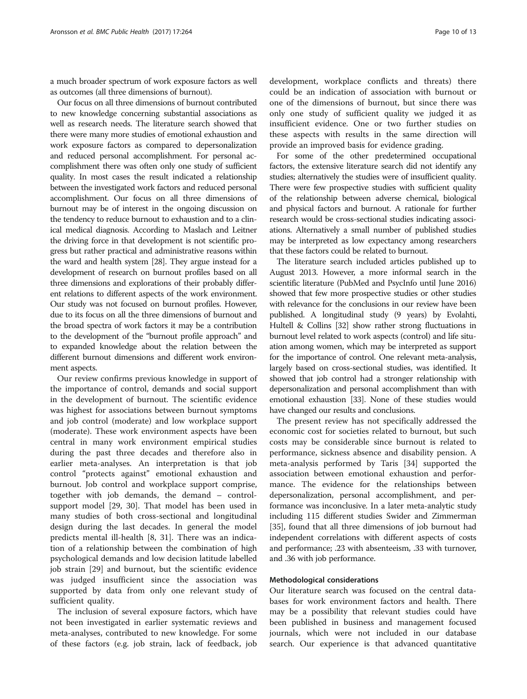a much broader spectrum of work exposure factors as well as outcomes (all three dimensions of burnout).

Our focus on all three dimensions of burnout contributed to new knowledge concerning substantial associations as well as research needs. The literature search showed that there were many more studies of emotional exhaustion and work exposure factors as compared to depersonalization and reduced personal accomplishment. For personal accomplishment there was often only one study of sufficient quality. In most cases the result indicated a relationship between the investigated work factors and reduced personal accomplishment. Our focus on all three dimensions of burnout may be of interest in the ongoing discussion on the tendency to reduce burnout to exhaustion and to a clinical medical diagnosis. According to Maslach and Leitner the driving force in that development is not scientific progress but rather practical and administrative reasons within the ward and health system [\[28\]](#page-12-0). They argue instead for a development of research on burnout profiles based on all three dimensions and explorations of their probably different relations to different aspects of the work environment. Our study was not focused on burnout profiles. However, due to its focus on all the three dimensions of burnout and the broad spectra of work factors it may be a contribution to the development of the "burnout profile approach" and to expanded knowledge about the relation between the different burnout dimensions and different work environment aspects.

Our review confirms previous knowledge in support of the importance of control, demands and social support in the development of burnout. The scientific evidence was highest for associations between burnout symptoms and job control (moderate) and low workplace support (moderate). These work environment aspects have been central in many work environment empirical studies during the past three decades and therefore also in earlier meta-analyses. An interpretation is that job control "protects against" emotional exhaustion and burnout. Job control and workplace support comprise, together with job demands, the demand – controlsupport model [\[29, 30\]](#page-12-0). That model has been used in many studies of both cross-sectional and longitudinal design during the last decades. In general the model predicts mental ill-health [[8,](#page-11-0) [31\]](#page-12-0). There was an indication of a relationship between the combination of high psychological demands and low decision latitude labelled job strain [[29\]](#page-12-0) and burnout, but the scientific evidence was judged insufficient since the association was supported by data from only one relevant study of sufficient quality.

The inclusion of several exposure factors, which have not been investigated in earlier systematic reviews and meta-analyses, contributed to new knowledge. For some of these factors (e.g. job strain, lack of feedback, job

development, workplace conflicts and threats) there could be an indication of association with burnout or one of the dimensions of burnout, but since there was only one study of sufficient quality we judged it as insufficient evidence. One or two further studies on these aspects with results in the same direction will provide an improved basis for evidence grading.

For some of the other predetermined occupational factors, the extensive literature search did not identify any studies; alternatively the studies were of insufficient quality. There were few prospective studies with sufficient quality of the relationship between adverse chemical, biological and physical factors and burnout. A rationale for further research would be cross-sectional studies indicating associations. Alternatively a small number of published studies may be interpreted as low expectancy among researchers that these factors could be related to burnout.

The literature search included articles published up to August 2013. However, a more informal search in the scientific literature (PubMed and PsycInfo until June 2016) showed that few more prospective studies or other studies with relevance for the conclusions in our review have been published. A longitudinal study (9 years) by Evolahti, Hultell & Collins [\[32](#page-12-0)] show rather strong fluctuations in burnout level related to work aspects (control) and life situation among women, which may be interpreted as support for the importance of control. One relevant meta-analysis, largely based on cross-sectional studies, was identified. It showed that job control had a stronger relationship with depersonalization and personal accomplishment than with emotional exhaustion [\[33\]](#page-12-0). None of these studies would have changed our results and conclusions.

The present review has not specifically addressed the economic cost for societies related to burnout, but such costs may be considerable since burnout is related to performance, sickness absence and disability pension. A meta-analysis performed by Taris [\[34](#page-12-0)] supported the association between emotional exhaustion and performance. The evidence for the relationships between depersonalization, personal accomplishment, and performance was inconclusive. In a later meta-analytic study including 115 different studies Swider and Zimmerman [[35](#page-12-0)], found that all three dimensions of job burnout had independent correlations with different aspects of costs and performance; .23 with absenteeism, .33 with turnover, and .36 with job performance.

## Methodological considerations

Our literature search was focused on the central databases for work environment factors and health. There may be a possibility that relevant studies could have been published in business and management focused journals, which were not included in our database search. Our experience is that advanced quantitative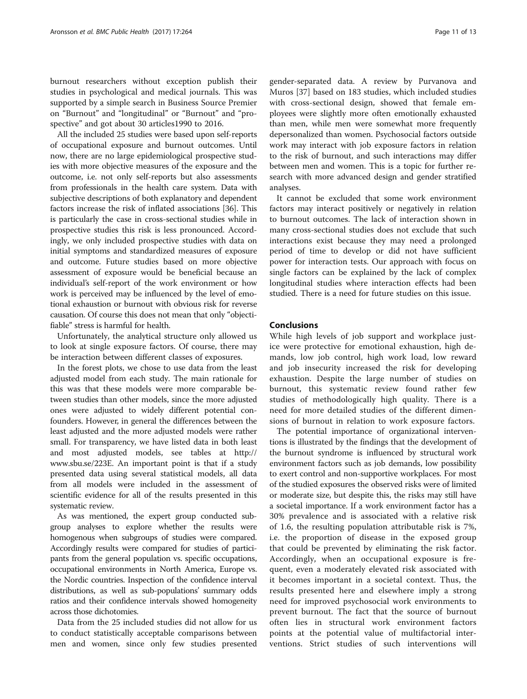burnout researchers without exception publish their studies in psychological and medical journals. This was supported by a simple search in Business Source Premier on "Burnout" and "longitudinal" or "Burnout" and "prospective" and got about 30 articles1990 to 2016.

All the included 25 studies were based upon self-reports of occupational exposure and burnout outcomes. Until now, there are no large epidemiological prospective studies with more objective measures of the exposure and the outcome, i.e. not only self-reports but also assessments from professionals in the health care system. Data with subjective descriptions of both explanatory and dependent factors increase the risk of inflated associations [[36](#page-12-0)]. This is particularly the case in cross-sectional studies while in prospective studies this risk is less pronounced. Accordingly, we only included prospective studies with data on initial symptoms and standardized measures of exposure and outcome. Future studies based on more objective assessment of exposure would be beneficial because an individual's self-report of the work environment or how work is perceived may be influenced by the level of emotional exhaustion or burnout with obvious risk for reverse causation. Of course this does not mean that only "objectifiable" stress is harmful for health.

Unfortunately, the analytical structure only allowed us to look at single exposure factors. Of course, there may be interaction between different classes of exposures.

In the forest plots, we chose to use data from the least adjusted model from each study. The main rationale for this was that these models were more comparable between studies than other models, since the more adjusted ones were adjusted to widely different potential confounders. However, in general the differences between the least adjusted and the more adjusted models were rather small. For transparency, we have listed data in both least and most adjusted models, see tables at [http://](http://www.sbu.se/223E) [www.sbu.se/223E](http://www.sbu.se/223E). An important point is that if a study presented data using several statistical models, all data from all models were included in the assessment of scientific evidence for all of the results presented in this systematic review.

As was mentioned, the expert group conducted subgroup analyses to explore whether the results were homogenous when subgroups of studies were compared. Accordingly results were compared for studies of participants from the general population vs. specific occupations, occupational environments in North America, Europe vs. the Nordic countries. Inspection of the confidence interval distributions, as well as sub-populations' summary odds ratios and their confidence intervals showed homogeneity across those dichotomies.

Data from the 25 included studies did not allow for us to conduct statistically acceptable comparisons between men and women, since only few studies presented gender-separated data. A review by Purvanova and Muros [[37\]](#page-12-0) based on 183 studies, which included studies with cross-sectional design, showed that female employees were slightly more often emotionally exhausted than men, while men were somewhat more frequently depersonalized than women. Psychosocial factors outside work may interact with job exposure factors in relation to the risk of burnout, and such interactions may differ between men and women. This is a topic for further research with more advanced design and gender stratified analyses.

It cannot be excluded that some work environment factors may interact positively or negatively in relation to burnout outcomes. The lack of interaction shown in many cross-sectional studies does not exclude that such interactions exist because they may need a prolonged period of time to develop or did not have sufficient power for interaction tests. Our approach with focus on single factors can be explained by the lack of complex longitudinal studies where interaction effects had been studied. There is a need for future studies on this issue.

## Conclusions

While high levels of job support and workplace justice were protective for emotional exhaustion, high demands, low job control, high work load, low reward and job insecurity increased the risk for developing exhaustion. Despite the large number of studies on burnout, this systematic review found rather few studies of methodologically high quality. There is a need for more detailed studies of the different dimensions of burnout in relation to work exposure factors.

The potential importance of organizational interventions is illustrated by the findings that the development of the burnout syndrome is influenced by structural work environment factors such as job demands, low possibility to exert control and non-supportive workplaces. For most of the studied exposures the observed risks were of limited or moderate size, but despite this, the risks may still have a societal importance. If a work environment factor has a 30% prevalence and is associated with a relative risk of 1.6, the resulting population attributable risk is 7%, i.e. the proportion of disease in the exposed group that could be prevented by eliminating the risk factor. Accordingly, when an occupational exposure is frequent, even a moderately elevated risk associated with it becomes important in a societal context. Thus, the results presented here and elsewhere imply a strong need for improved psychosocial work environments to prevent burnout. The fact that the source of burnout often lies in structural work environment factors points at the potential value of multifactorial interventions. Strict studies of such interventions will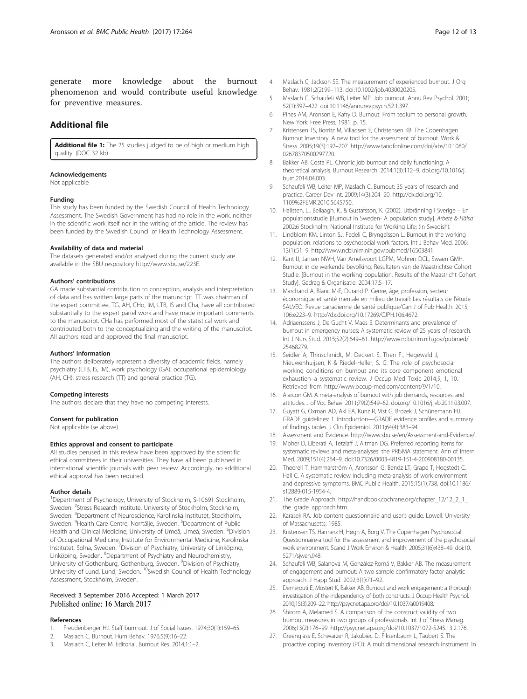<span id="page-11-0"></span>generate more knowledge about the burnout phenomenon and would contribute useful knowledge for preventive measures.

## Additional file

[Additional file 1:](dx.doi.org/10.1186/s12889-017-4153-7) The 25 studies judged to be of high or medium high quality. (DOC 32 kb)

#### Acknowledgements

Not applicable

#### Funding

This study has been funded by the Swedish Council of Health Technology Assessment. The Swedish Government has had no role in the work, neither in the scientific work itself nor in the writing of the article. The review has been funded by the Swedish Council of Health Technology Assessment.

#### Availability of data and material

The datasets generated and/or analysed during the current study are available in the SBU respository<http://www.sbu.se/223E>.

#### Authors' contributions

GA made substantial contribution to conception, analysis and interpretation of data and has written large parts of the manuscript. TT was chairman of the expert committee, TG, AH, CHo, IM, LTB, IS and Cha, have all contributed substantially to the expert panel work and have made important comments to the manuscript. CHa has performed most of the statistical work and contributed both to the conceptualizing and the writing of the manuscript. All authors read and approved the final manuscript.

#### Authors' information

The authors deliberately represent a diversity of academic fields, namely psychiatry (LTB, IS, IM), work psychology (GA), occupational epidemiology (AH, CH), stress research (TT) and general practice (TG).

#### Competing interests

The authors declare that they have no competing interests.

## Consent for publication

Not applicable (se above).

#### Ethics approval and consent to participate

All studies perused in this review have been approved by the scientific ethical committees in their universities. They have all been published in international scientific journals with peer review. Accordingly, no additional ethical approval has been required.

#### Author details

<sup>1</sup>Department of Psychology, University of Stockholm, S-10691 Stockholm, Sweden. <sup>2</sup>Stress Research Institute, University of Stockholm, Stockholm, Sweden. <sup>3</sup>Department of Neuroscience, Karolinska Institutet, Stockholm, Sweden. <sup>4</sup>Health Care Centre, Norrtälje, Sweden. <sup>5</sup>Department of Public Health and Clinical Medicine, University of Umeå, Umeå, Sweden. <sup>6</sup>Division of Occupational Medicine, Institute for Environmental Medicine, Karolinska Institutet, Solna, Sweden. <sup>7</sup>Division of Psychiatry, University of Linköping, Linköping, Sweden. <sup>8</sup>Department of Psychiatry and Neurochemistry, University of Gothenburg, Gothenburg, Sweden. <sup>9</sup> Division of Psychiatry, University of Lund, Lund, Sweden. <sup>10</sup>Swedish Council of Health Technology Assessment, Stockholm, Sweden.

## Received: 3 September 2016 Accepted: 1 March 2017 Published online: 16 March 2017

#### References

- Freudenberger HJ. Staff burn-out. J of Social Issues. 1974;30(1):159–65.
- 2. Maslach C. Burnout. Hum Behav. 1976;5(9):16–22.
- 3. Maslach C, Leiter M. Editorial. Burnout Res. 2014;1:1–2.
- 4. Maslach C, Jackson SE. The measurement of experienced burnout. J Org Behav. 1981;2(2):99–113. doi:[10.1002/job.4030020205.](http://dx.doi.org/10.1002/job.4030020205)
- 5. Maslach C, Schaufeli WB, Leiter MP. Job burnout. Annu Rev Psychol. 2001; 52(1):397–422. doi:[10.1146/annurev.psych.52.1.397](http://dx.doi.org/10.1146/annurev.psych.52.1.397).
- 6. Pines AM, Aronson E, Kafry D. Burnout: From tedium to personal growth. New York: Free Press; 1981. p. 15.
- 7. Kristensen TS, Borritz M, Villadsen E, Christensen KB. The Copenhagen Burnout Inventory: A new tool for the assessment of burnout. Work & Stress. 2005;19(3):192–207. [http://www.tandfonline.com/doi/abs/10.1080/](http://www.tandfonline.com/doi/abs/10.1080/02678370500297720) [02678370500297720.](http://www.tandfonline.com/doi/abs/10.1080/02678370500297720)
- 8. Bakker AB, Costa PL. Chronic job burnout and daily functioning: A theoretical analysis. Burnout Research. 2014;1(3):112–9. doi.org/[10.1016/j.](http://dx.doi.org/10.1016/j.burn.2014.04.003) [burn.2014.04.003](http://dx.doi.org/10.1016/j.burn.2014.04.003).
- 9. Schaufeli WB, Leiter MP, Maslach C. Burnout: 35 years of research and practice. Career Dev Int. 2009;14(3):204–20. [http://dx.doi.org/10.](http://dx.doi.org/10.1109/EMR.2010.5645750) [1109%2FEMR.2010.5645750](http://dx.doi.org/10.1109/EMR.2010.5645750).
- 10. Hallsten, L., Bellaagh, K., & Gustafsson, K. (2002). Utbränning i Sverige En populationsstudie [Burnout in Sweden- A population study]. Arbete & Hälsa 2002:6 Stockholm: National Institute for Working Life; (in Swedish).
- 11. Lindblom KM, Linton SJ, Fedeli C, Bryngelsson L. Burnout in the working population: relations to psychosocial work factors. Int J Behav Med. 2006; 13(1):51–9. [http://www.ncbi.nlm.nih.gov/pubmed/16503841.](http://www.ncbi.nlm.nih.gov/pubmed/16503841)
- 12. Kant IJ, Jansen NWH, Van Amelsvoort LGPM, Mohren DCL, Swaen GMH. Burnout in de werkende bevolking. Resultaten van de Maastrichtse Cohort Studie. [Burnout in the working population. Results of the Maastricht Cohort Study]. Gedrag & Organisatie. 2004;17:5–17.
- 13. Marchand A, Blanc M-E, Durand P. Genre, âge, profession, secteur économique et santé mentale en milieu de travail: Les résultats de l'étude SALVEO. Revue canadienne de santé publique/Can J of Pub Health. 2015; 106:e223–9. [http://dx.doi.org/10.17269/CJPH.106.4672.](http://dx.doi.org/10.17269/CJPH.106.4672)
- 14. Adriaenssens J, De Gucht V, Maes S. Determinants and prevalence of burnout in emergency nurses: A systematic review of 25 years of research. Int J Nurs Stud. 2015;52(2):649–61. [http://www.ncbi.nlm.nih.gov/pubmed/](http://www.ncbi.nlm.nih.gov/pubmed/25468279) [25468279](http://www.ncbi.nlm.nih.gov/pubmed/25468279).
- 15. Seidler A, Thinschmidt, M, Deckert S, Then F., Hegewald J, Nieuwenhuijsen, K & Riedel-Heller, S. G. The role of psychosocial working conditions on burnout and its core component emotional exhaustion–a systematic review. J Occup Med Toxic 2014;9, 1, 10. Retrieved from<http://www.occup-med.com/content/9/1/10>.
- 16. Alarcon GM. A meta-analysis of burnout with job demands, resources, and attitudes. J of Voc Behav. 2011;79(2):549–62. [doi.org/10.1016/j.jvb.2011.03.007](http://doi.org/10.1016/j.jvb.2011.03.007).
- 17. Guyatt G, Oxman AD, Akl EA, Kunz R, Vist G, Brozek J, Schünemann HJ. GRADE guidelines: 1. Introduction—GRADE evidence profiles and summary of findings tables. J Clin Epidemiol. 2011;64(4):383–94.
- 18. Assessment and Evidence. [http://www.sbu.se/en/Assessment-and-Evidence/.](http://www.sbu.se/en/Assessment-and-Evidence/)
- 19. Moher D, Liberati A, Tetzlaff J, Altman DG. Preferred reporting items for systematic reviews and meta-analyses: the PRISMA statement. Ann of Intern Med. 2009;151(4):264–9. doi[:10.7326/0003-4819-151-4-200908180-00135](http://dx.doi.org/10.7326/0003-4819-151-4-200908180-00135).
- 20. Theorell T, Hammarström A, Aronsson G, Bendz LT, Grape T, Hogstedt C, Hall C. A systematic review including meta-analysis of work environment and depressive symptoms. BMC Public Health. 2015;15(1):738. doi:[10.1186/](http://dx.doi.org/10.1186/s12889-015-1954-4) [s12889-015-1954-4.](http://dx.doi.org/10.1186/s12889-015-1954-4)
- 21. The Grade Approach. [http://handbook.cochrane.org/chapter\\_12/12\\_2\\_1\\_](http://handbook.cochrane.org/chapter_12/12_2_1_the_grade_approach.htm) the grade approach.htm
- 22. Karasek RA. Job content questionnaire and user's guide. Lowell: University of Massachusetts; 1985.
- 23. Kristensen TS, Hannerz H, Høgh A, Borg V. The Copenhagen Psychosocial Questionnaire-a tool for the assessment and improvement of the psychosocial work environment. Scand J Work Environ & Health. 2005;31(6):438–49. doi[:10.](http://dx.doi.org/10.5271/sjweh.948) [5271/sjweh.948](http://dx.doi.org/10.5271/sjweh.948).
- 24. Schaufeli WB, Salanova M, González-Romá V, Bakker AB. The measurement of engagement and burnout: A two sample confirmatory factor analytic approach. J Happ Stud. 2002;3(1):71–92.
- 25. Demerouti E, Mostert K, Bakker AB. Burnout and work engagement: a thorough investigation of the independency of both constructs. J Occup Health Psychol. 2010;15(3):209–22.<http://psycnet.apa.org/doi/10.1037/a0019408>.
- 26. Shirom A, Melamed S. A comparison of the construct validity of two burnout measures in two groups of professionals. Int J of Stress Manag. 2006;13(2):176–99. [http://psycnet.apa.org/doi/10.1037/1072-5245.13.2.176.](http://psycnet.apa.org/doi/10.1037/1072-5245.13.2.176)
- 27. Greenglass E, Schwarzer R, Jakubiec D, Fiksenbaum L, Taubert S. The proactive coping inventory (PCI): A multidimensional research instrument. In